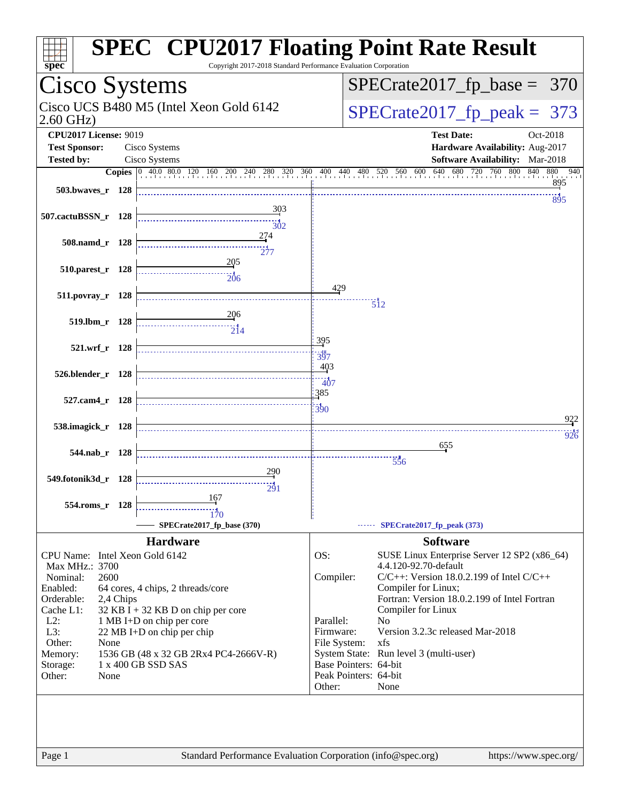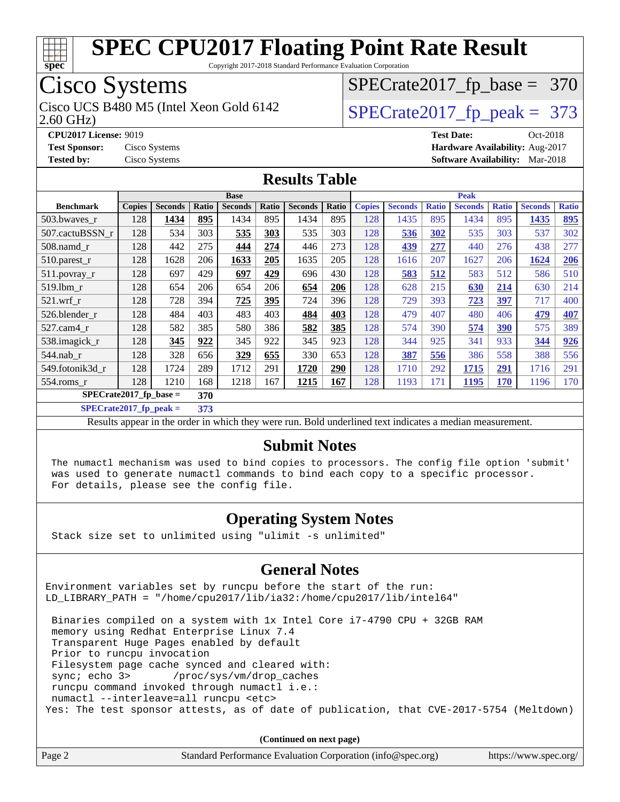

Copyright 2017-2018 Standard Performance Evaluation Corporation

## Cisco Systems

Cisco UCS B480 M5 (Intel Xeon Gold 6142  $\vert$  [SPECrate2017\\_fp\\_peak =](http://www.spec.org/auto/cpu2017/Docs/result-fields.html#SPECrate2017fppeak) 373

[SPECrate2017\\_fp\\_base =](http://www.spec.org/auto/cpu2017/Docs/result-fields.html#SPECrate2017fpbase) 370

2.60 GHz)

**[Tested by:](http://www.spec.org/auto/cpu2017/Docs/result-fields.html#Testedby)** Cisco Systems **[Software Availability:](http://www.spec.org/auto/cpu2017/Docs/result-fields.html#SoftwareAvailability)** Mar-2018

#### **[CPU2017 License:](http://www.spec.org/auto/cpu2017/Docs/result-fields.html#CPU2017License)** 9019 **[Test Date:](http://www.spec.org/auto/cpu2017/Docs/result-fields.html#TestDate)** Oct-2018 **[Test Sponsor:](http://www.spec.org/auto/cpu2017/Docs/result-fields.html#TestSponsor)** Cisco Systems **[Hardware Availability:](http://www.spec.org/auto/cpu2017/Docs/result-fields.html#HardwareAvailability)** Aug-2017

#### **[Results Table](http://www.spec.org/auto/cpu2017/Docs/result-fields.html#ResultsTable)**

|                  | <b>Base</b>                      |                |       |                |       | <b>Peak</b>    |       |               |                |              |                |              |                |              |
|------------------|----------------------------------|----------------|-------|----------------|-------|----------------|-------|---------------|----------------|--------------|----------------|--------------|----------------|--------------|
| <b>Benchmark</b> | <b>Copies</b>                    | <b>Seconds</b> | Ratio | <b>Seconds</b> | Ratio | <b>Seconds</b> | Ratio | <b>Copies</b> | <b>Seconds</b> | <b>Ratio</b> | <b>Seconds</b> | <b>Ratio</b> | <b>Seconds</b> | <b>Ratio</b> |
| 503.bwayes r     | 128                              | 1434           | 895   | 1434           | 895   | 1434           | 895   | 128           | 1435           | 895          | 1434           | 895          | 1435           | 895          |
| 507.cactuBSSN r  | 128                              | 534            | 303   | 535            | 303   | 535            | 303   | 128           | 536            | 302          | 535            | 303          | 537            | 302          |
| $508$ .namd $r$  | 128                              | 442            | 275   | 444            | 274   | 446            | 273   | 128           | 439            | 277          | 440            | 276          | 438            | 277          |
| 510.parest_r     | 128                              | 1628           | 206   | 1633           | 205   | 1635           | 205   | 128           | 1616           | 207          | 1627           | 206          | 1624           | 206          |
| 511.povray_r     | 128                              | 697            | 429   | 697            | 429   | 696            | 430   | 128           | 583            | 512          | 583            | 512          | 586            | 510          |
| $519$ .lbm $r$   | 128                              | 654            | 206   | 654            | 206   | 654            | 206   | 128           | 628            | 215          | 630            | 214          | 630            | 214          |
| $521$ .wrf r     | 128                              | 728            | 394   | 725            | 395   | 724            | 396   | 128           | 729            | 393          | 723            | 397          | 717            | 400          |
| 526.blender r    | 128                              | 484            | 403   | 483            | 403   | 484            | 403   | 128           | 479            | 407          | 480            | 406          | 479            | 407          |
| $527.cam4_r$     | 128                              | 582            | 385   | 580            | 386   | 582            | 385   | 128           | 574            | 390          | 574            | 390          | 575            | 389          |
| 538.imagick_r    | 128                              | 345            | 922   | 345            | 922   | 345            | 923   | 128           | 344            | 925          | 341            | 933          | 344            | 926          |
| $544$ .nab r     | 128                              | 328            | 656   | 329            | 655   | 330            | 653   | 128           | 387            | 556          | 386            | 558          | 388            | 556          |
| 549.fotonik3d_r  | 128                              | 1724           | 289   | 1712           | 291   | 1720           | 290   | 128           | 1710           | 292          | 1715           | 291          | 1716           | 291          |
| 554.roms r       | 128                              | 1210           | 168   | 1218           | 167   | 1215           | 167   | 128           | 1193           | 171          | 1195           | 170          | 1196           | 170          |
|                  | $SPECrate2017_fp\_base =$<br>370 |                |       |                |       |                |       |               |                |              |                |              |                |              |

**[SPECrate2017\\_fp\\_peak =](http://www.spec.org/auto/cpu2017/Docs/result-fields.html#SPECrate2017fppeak) 373**

Results appear in the [order in which they were run](http://www.spec.org/auto/cpu2017/Docs/result-fields.html#RunOrder). Bold underlined text [indicates a median measurement](http://www.spec.org/auto/cpu2017/Docs/result-fields.html#Median).

#### **[Submit Notes](http://www.spec.org/auto/cpu2017/Docs/result-fields.html#SubmitNotes)**

 The numactl mechanism was used to bind copies to processors. The config file option 'submit' was used to generate numactl commands to bind each copy to a specific processor. For details, please see the config file.

#### **[Operating System Notes](http://www.spec.org/auto/cpu2017/Docs/result-fields.html#OperatingSystemNotes)**

Stack size set to unlimited using "ulimit -s unlimited"

#### **[General Notes](http://www.spec.org/auto/cpu2017/Docs/result-fields.html#GeneralNotes)**

Environment variables set by runcpu before the start of the run: LD\_LIBRARY\_PATH = "/home/cpu2017/lib/ia32:/home/cpu2017/lib/intel64"

 Binaries compiled on a system with 1x Intel Core i7-4790 CPU + 32GB RAM memory using Redhat Enterprise Linux 7.4 Transparent Huge Pages enabled by default Prior to runcpu invocation Filesystem page cache synced and cleared with: sync; echo 3> /proc/sys/vm/drop\_caches runcpu command invoked through numactl i.e.: numactl --interleave=all runcpu <etc> Yes: The test sponsor attests, as of date of publication, that CVE-2017-5754 (Meltdown)

**(Continued on next page)**

| Page 2 | Standard Performance Evaluation Corporation (info@spec.org) | https://www.spec.org/ |
|--------|-------------------------------------------------------------|-----------------------|
|--------|-------------------------------------------------------------|-----------------------|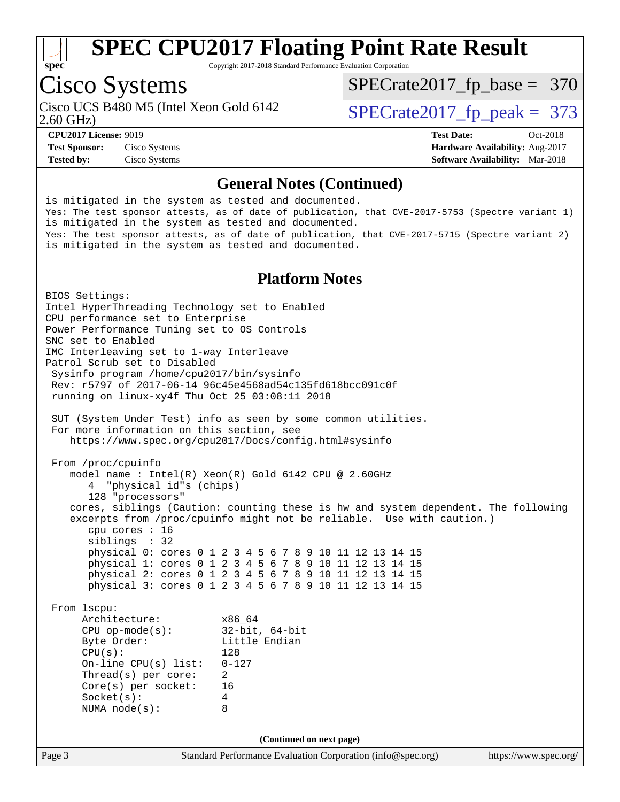

Copyright 2017-2018 Standard Performance Evaluation Corporation

## Cisco Systems

Cisco UCS B480 M5 (Intel Xeon Gold 6142  $\vert$  [SPECrate2017\\_fp\\_peak =](http://www.spec.org/auto/cpu2017/Docs/result-fields.html#SPECrate2017fppeak) 373

[SPECrate2017\\_fp\\_base =](http://www.spec.org/auto/cpu2017/Docs/result-fields.html#SPECrate2017fpbase) 370

2.60 GHz)

**[Tested by:](http://www.spec.org/auto/cpu2017/Docs/result-fields.html#Testedby)** Cisco Systems **[Software Availability:](http://www.spec.org/auto/cpu2017/Docs/result-fields.html#SoftwareAvailability)** Mar-2018

**[CPU2017 License:](http://www.spec.org/auto/cpu2017/Docs/result-fields.html#CPU2017License)** 9019 **[Test Date:](http://www.spec.org/auto/cpu2017/Docs/result-fields.html#TestDate)** Oct-2018 **[Test Sponsor:](http://www.spec.org/auto/cpu2017/Docs/result-fields.html#TestSponsor)** Cisco Systems **[Hardware Availability:](http://www.spec.org/auto/cpu2017/Docs/result-fields.html#HardwareAvailability)** Aug-2017

#### **[General Notes \(Continued\)](http://www.spec.org/auto/cpu2017/Docs/result-fields.html#GeneralNotes)**

is mitigated in the system as tested and documented. Yes: The test sponsor attests, as of date of publication, that CVE-2017-5753 (Spectre variant 1) is mitigated in the system as tested and documented. Yes: The test sponsor attests, as of date of publication, that CVE-2017-5715 (Spectre variant 2) is mitigated in the system as tested and documented.

#### **[Platform Notes](http://www.spec.org/auto/cpu2017/Docs/result-fields.html#PlatformNotes)**

Page 3 Standard Performance Evaluation Corporation [\(info@spec.org\)](mailto:info@spec.org) <https://www.spec.org/> BIOS Settings: Intel HyperThreading Technology set to Enabled CPU performance set to Enterprise Power Performance Tuning set to OS Controls SNC set to Enabled IMC Interleaving set to 1-way Interleave Patrol Scrub set to Disabled Sysinfo program /home/cpu2017/bin/sysinfo Rev: r5797 of 2017-06-14 96c45e4568ad54c135fd618bcc091c0f running on linux-xy4f Thu Oct 25 03:08:11 2018 SUT (System Under Test) info as seen by some common utilities. For more information on this section, see <https://www.spec.org/cpu2017/Docs/config.html#sysinfo> From /proc/cpuinfo model name : Intel(R) Xeon(R) Gold 6142 CPU @ 2.60GHz 4 "physical id"s (chips) 128 "processors" cores, siblings (Caution: counting these is hw and system dependent. The following excerpts from /proc/cpuinfo might not be reliable. Use with caution.) cpu cores : 16 siblings : 32 physical 0: cores 0 1 2 3 4 5 6 7 8 9 10 11 12 13 14 15 physical 1: cores 0 1 2 3 4 5 6 7 8 9 10 11 12 13 14 15 physical 2: cores 0 1 2 3 4 5 6 7 8 9 10 11 12 13 14 15 physical 3: cores 0 1 2 3 4 5 6 7 8 9 10 11 12 13 14 15 From lscpu: Architecture: x86\_64 CPU op-mode(s): 32-bit, 64-bit Little Endian CPU(s): 128 On-line CPU(s) list: 0-127 Thread(s) per core: 2 Core(s) per socket: 16 Socket(s): 4 NUMA node(s): 8 **(Continued on next page)**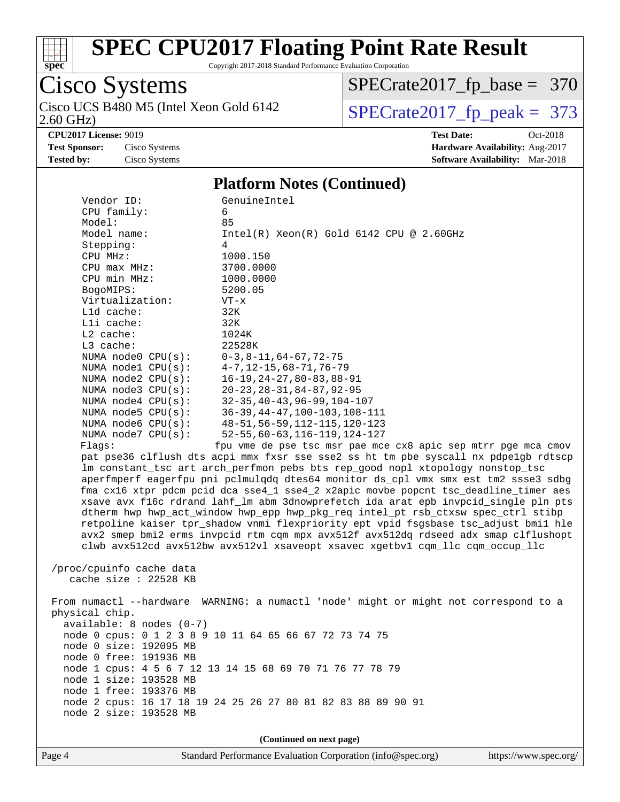

Copyright 2017-2018 Standard Performance Evaluation Corporation

#### Cisco Systems 2.60 GHz) Cisco UCS B480 M5 (Intel Xeon Gold 6142  $\boxed{\text{SPECrate2017\_fp\_peak = 373}}$

[SPECrate2017\\_fp\\_base =](http://www.spec.org/auto/cpu2017/Docs/result-fields.html#SPECrate2017fpbase) 370

**[CPU2017 License:](http://www.spec.org/auto/cpu2017/Docs/result-fields.html#CPU2017License)** 9019 **[Test Date:](http://www.spec.org/auto/cpu2017/Docs/result-fields.html#TestDate)** Oct-2018 **[Test Sponsor:](http://www.spec.org/auto/cpu2017/Docs/result-fields.html#TestSponsor)** Cisco Systems **[Hardware Availability:](http://www.spec.org/auto/cpu2017/Docs/result-fields.html#HardwareAvailability)** Aug-2017 **[Tested by:](http://www.spec.org/auto/cpu2017/Docs/result-fields.html#Testedby)** Cisco Systems **[Software Availability:](http://www.spec.org/auto/cpu2017/Docs/result-fields.html#SoftwareAvailability)** Mar-2018

#### **[Platform Notes \(Continued\)](http://www.spec.org/auto/cpu2017/Docs/result-fields.html#PlatformNotes)**

| Vendor ID:                 | GenuineIntel                                                                         |
|----------------------------|--------------------------------------------------------------------------------------|
| CPU family:                | 6                                                                                    |
| Model:                     | 85                                                                                   |
| Model name:                | $Intel(R)$ Xeon $(R)$ Gold 6142 CPU @ 2.60GHz                                        |
| Stepping:                  | 4                                                                                    |
| CPU MHz:                   | 1000.150                                                                             |
| CPU max MHz:               | 3700.0000                                                                            |
| CPU min MHz:               | 1000.0000                                                                            |
| BogoMIPS:                  | 5200.05                                                                              |
| Virtualization:            | $VT - x$                                                                             |
| L1d cache:                 | 32K                                                                                  |
| Lli cache:                 | 32K                                                                                  |
| $L2$ cache:                | 1024K                                                                                |
| $L3$ cache:                | 22528K                                                                               |
| NUMA node0 CPU(s):         | $0-3, 8-11, 64-67, 72-75$                                                            |
| NUMA nodel $CPU(s):$       | $4 - 7, 12 - 15, 68 - 71, 76 - 79$                                                   |
| NUMA $node2$ $CPU(s):$     | $16 - 19, 24 - 27, 80 - 83, 88 - 91$                                                 |
| NUMA $node3$ $CPU(s):$     | $20 - 23, 28 - 31, 84 - 87, 92 - 95$                                                 |
| NUMA $node4$ $CPU(s):$     | $32 - 35, 40 - 43, 96 - 99, 104 - 107$                                               |
| NUMA $node5$ CPU $(s)$ :   | $36-39, 44-47, 100-103, 108-111$                                                     |
| NUMA node6 $CPU(s):$       | 48-51, 56-59, 112-115, 120-123                                                       |
| NUMA node7 CPU(s):         | $52 - 55, 60 - 63, 116 - 119, 124 - 127$                                             |
| Flaqs:                     | fpu vme de pse tsc msr pae mce cx8 apic sep mtrr pge mca cmov                        |
|                            | pat pse36 clflush dts acpi mmx fxsr sse sse2 ss ht tm pbe syscall nx pdpe1gb rdtscp  |
|                            | lm constant_tsc art arch_perfmon pebs bts rep_good nopl xtopology nonstop_tsc        |
|                            | aperfmperf eagerfpu pni pclmulqdq dtes64 monitor ds_cpl vmx smx est tm2 ssse3 sdbg   |
|                            | fma cx16 xtpr pdcm pcid dca sse4_1 sse4_2 x2apic movbe popcnt tsc_deadline_timer aes |
|                            | xsave avx f16c rdrand lahf_lm abm 3dnowprefetch ida arat epb invpcid_single pln pts  |
|                            | dtherm hwp hwp_act_window hwp_epp hwp_pkg_req intel_pt rsb_ctxsw spec_ctrl stibp     |
|                            | retpoline kaiser tpr_shadow vnmi flexpriority ept vpid fsgsbase tsc_adjust bmil hle  |
|                            | avx2 smep bmi2 erms invpcid rtm cqm mpx avx512f avx512dq rdseed adx smap clflushopt  |
|                            | clwb avx512cd avx512bw avx512vl xsaveopt xsavec xgetbvl cqm_llc cqm_occup_llc        |
|                            |                                                                                      |
| /proc/cpuinfo cache data   |                                                                                      |
| cache size $: 22528$ KB    |                                                                                      |
|                            |                                                                                      |
|                            | From numactl --hardware WARNING: a numactl 'node' might or might not correspond to a |
| physical chip.             |                                                                                      |
| $available: 8 nodes (0-7)$ |                                                                                      |
|                            | node 0 cpus: 0 1 2 3 8 9 10 11 64 65 66 67 72 73 74 75                               |
| node 0 size: 192095 MB     |                                                                                      |
| node 0 free: 191936 MB     |                                                                                      |
|                            | node 1 cpus: 4 5 6 7 12 13 14 15 68 69 70 71 76 77 78 79                             |
| node 1 size: 193528 MB     |                                                                                      |
| node 1 free: 193376 MB     |                                                                                      |
|                            | node 2 cpus: 16 17 18 19 24 25 26 27 80 81 82 83 88 89 90 91                         |
| node 2 size: 193528 MB     |                                                                                      |

**(Continued on next page)**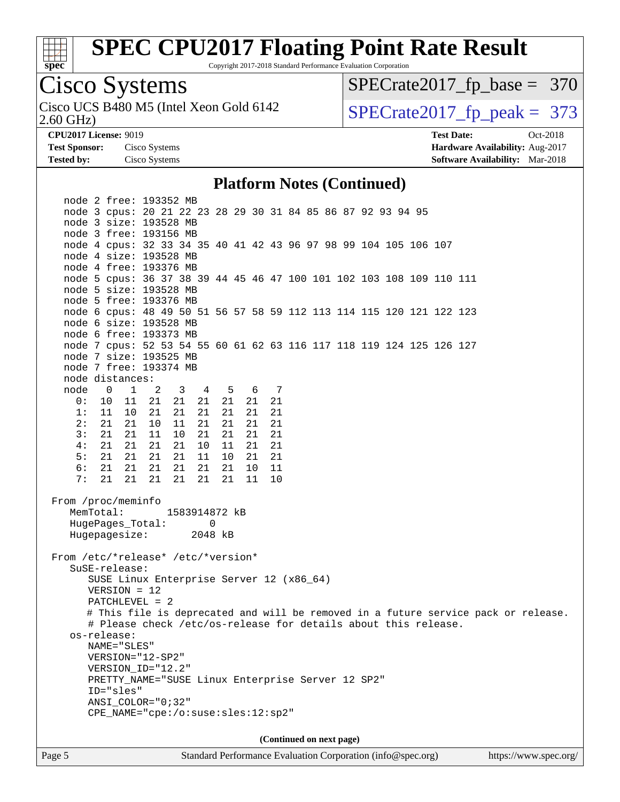

Copyright 2017-2018 Standard Performance Evaluation Corporation

## Cisco Systems

2.60 GHz) Cisco UCS B480 M5 (Intel Xeon Gold 6142  $\vert$  [SPECrate2017\\_fp\\_peak =](http://www.spec.org/auto/cpu2017/Docs/result-fields.html#SPECrate2017fppeak) 373

[SPECrate2017\\_fp\\_base =](http://www.spec.org/auto/cpu2017/Docs/result-fields.html#SPECrate2017fpbase) 370

**[Tested by:](http://www.spec.org/auto/cpu2017/Docs/result-fields.html#Testedby)** Cisco Systems **[Software Availability:](http://www.spec.org/auto/cpu2017/Docs/result-fields.html#SoftwareAvailability)** Mar-2018

**[CPU2017 License:](http://www.spec.org/auto/cpu2017/Docs/result-fields.html#CPU2017License)** 9019 **[Test Date:](http://www.spec.org/auto/cpu2017/Docs/result-fields.html#TestDate)** Oct-2018 **[Test Sponsor:](http://www.spec.org/auto/cpu2017/Docs/result-fields.html#TestSponsor)** Cisco Systems **[Hardware Availability:](http://www.spec.org/auto/cpu2017/Docs/result-fields.html#HardwareAvailability)** Aug-2017

#### **[Platform Notes \(Continued\)](http://www.spec.org/auto/cpu2017/Docs/result-fields.html#PlatformNotes)**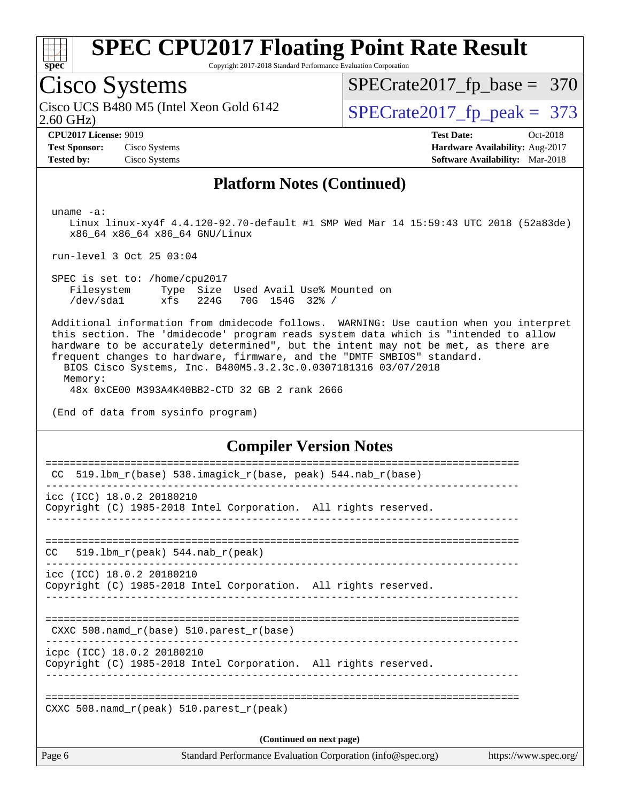

Copyright 2017-2018 Standard Performance Evaluation Corporation

### Cisco Systems

2.60 GHz) Cisco UCS B480 M5 (Intel Xeon Gold 6142  $\vert$  [SPECrate2017\\_fp\\_peak =](http://www.spec.org/auto/cpu2017/Docs/result-fields.html#SPECrate2017fppeak) 373

[SPECrate2017\\_fp\\_base =](http://www.spec.org/auto/cpu2017/Docs/result-fields.html#SPECrate2017fpbase) 370

**[CPU2017 License:](http://www.spec.org/auto/cpu2017/Docs/result-fields.html#CPU2017License)** 9019 **[Test Date:](http://www.spec.org/auto/cpu2017/Docs/result-fields.html#TestDate)** Oct-2018 **[Test Sponsor:](http://www.spec.org/auto/cpu2017/Docs/result-fields.html#TestSponsor)** Cisco Systems **[Hardware Availability:](http://www.spec.org/auto/cpu2017/Docs/result-fields.html#HardwareAvailability)** Aug-2017 **[Tested by:](http://www.spec.org/auto/cpu2017/Docs/result-fields.html#Testedby)** Cisco Systems **[Software Availability:](http://www.spec.org/auto/cpu2017/Docs/result-fields.html#SoftwareAvailability)** Mar-2018

#### **[Platform Notes \(Continued\)](http://www.spec.org/auto/cpu2017/Docs/result-fields.html#PlatformNotes)**

uname -a:

 Linux linux-xy4f 4.4.120-92.70-default #1 SMP Wed Mar 14 15:59:43 UTC 2018 (52a83de) x86\_64 x86\_64 x86\_64 GNU/Linux

run-level 3 Oct 25 03:04

 SPEC is set to: /home/cpu2017 Filesystem Type Size Used Avail Use% Mounted on /dev/sda1 xfs 224G 70G 154G 32% /

 Additional information from dmidecode follows. WARNING: Use caution when you interpret this section. The 'dmidecode' program reads system data which is "intended to allow hardware to be accurately determined", but the intent may not be met, as there are frequent changes to hardware, firmware, and the "DMTF SMBIOS" standard.

 BIOS Cisco Systems, Inc. B480M5.3.2.3c.0.0307181316 03/07/2018 Memory:

48x 0xCE00 M393A4K40BB2-CTD 32 GB 2 rank 2666

(End of data from sysinfo program)

#### **[Compiler Version Notes](http://www.spec.org/auto/cpu2017/Docs/result-fields.html#CompilerVersionNotes)**

| Page 6                    | Standard Performance Evaluation Corporation (info@spec.org)                                   | https://www.spec.org/ |
|---------------------------|-----------------------------------------------------------------------------------------------|-----------------------|
|                           | (Continued on next page)                                                                      |                       |
|                           | CXXC 508. namd $r(\text{peak})$ 510. parest $r(\text{peak})$                                  |                       |
|                           |                                                                                               |                       |
|                           | icpc (ICC) 18.0.2 20180210<br>Copyright (C) 1985-2018 Intel Corporation. All rights reserved. |                       |
|                           | CXXC 508. namd $r(base)$ 510. parest $r(base)$                                                |                       |
|                           |                                                                                               |                       |
| icc (ICC) 18.0.2 20180210 | Copyright (C) 1985-2018 Intel Corporation. All rights reserved.                               |                       |
| CC.                       | $519.1bm_r(peak) 544.nab_r(peak)$                                                             |                       |
| icc (ICC) 18.0.2 20180210 | Copyright (C) 1985-2018 Intel Corporation. All rights reserved.                               |                       |
|                           |                                                                                               |                       |
| <b>CC</b>                 | 519.1bm_r(base) 538.imagick_r(base, peak) 544.nab_r(base)                                     |                       |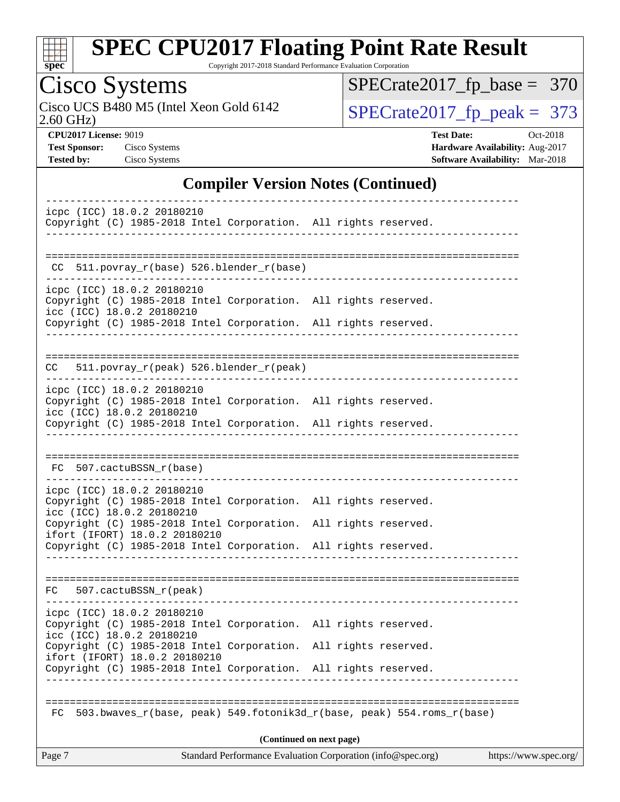

Copyright 2017-2018 Standard Performance Evaluation Corporation

## Cisco Systems

2.60 GHz) Cisco UCS B480 M5 (Intel Xeon Gold 6142  $\boxed{\text{SPECrate2017\_fp\_peak = 373}}$ 

[SPECrate2017\\_fp\\_base =](http://www.spec.org/auto/cpu2017/Docs/result-fields.html#SPECrate2017fpbase) 370

**[CPU2017 License:](http://www.spec.org/auto/cpu2017/Docs/result-fields.html#CPU2017License)** 9019 **[Test Date:](http://www.spec.org/auto/cpu2017/Docs/result-fields.html#TestDate)** Oct-2018 **[Test Sponsor:](http://www.spec.org/auto/cpu2017/Docs/result-fields.html#TestSponsor)** Cisco Systems **[Hardware Availability:](http://www.spec.org/auto/cpu2017/Docs/result-fields.html#HardwareAvailability)** Aug-2017 **[Tested by:](http://www.spec.org/auto/cpu2017/Docs/result-fields.html#Testedby)** Cisco Systems **[Software Availability:](http://www.spec.org/auto/cpu2017/Docs/result-fields.html#SoftwareAvailability)** Mar-2018

#### **[Compiler Version Notes \(Continued\)](http://www.spec.org/auto/cpu2017/Docs/result-fields.html#CompilerVersionNotes)**

| Standard Performance Evaluation Corporation (info@spec.org)<br>Page 7<br>https://www.spec.org/                                                                      |  |  |  |  |
|---------------------------------------------------------------------------------------------------------------------------------------------------------------------|--|--|--|--|
| (Continued on next page)                                                                                                                                            |  |  |  |  |
| 503.bwaves_r(base, peak) 549.fotonik3d_r(base, peak) 554.roms_r(base)<br>FC.                                                                                        |  |  |  |  |
|                                                                                                                                                                     |  |  |  |  |
| ifort (IFORT) 18.0.2 20180210<br>Copyright (C) 1985-2018 Intel Corporation. All rights reserved.                                                                    |  |  |  |  |
| icc (ICC) 18.0.2 20180210<br>Copyright (C) 1985-2018 Intel Corporation. All rights reserved.                                                                        |  |  |  |  |
| icpc (ICC) 18.0.2 20180210<br>Copyright (C) 1985-2018 Intel Corporation. All rights reserved.                                                                       |  |  |  |  |
|                                                                                                                                                                     |  |  |  |  |
| FC 507.cactuBSSN_r(peak)                                                                                                                                            |  |  |  |  |
|                                                                                                                                                                     |  |  |  |  |
| Copyright (C) 1985-2018 Intel Corporation. All rights reserved.<br>ifort (IFORT) 18.0.2 20180210<br>Copyright (C) 1985-2018 Intel Corporation. All rights reserved. |  |  |  |  |
| icc (ICC) 18.0.2 20180210                                                                                                                                           |  |  |  |  |
| icpc (ICC) 18.0.2 20180210<br>Copyright (C) 1985-2018 Intel Corporation. All rights reserved.                                                                       |  |  |  |  |
| FC 507.cactuBSSN_r(base)<br>-------------------------                                                                                                               |  |  |  |  |
|                                                                                                                                                                     |  |  |  |  |
| Copyright (C) 1985-2018 Intel Corporation. All rights reserved.                                                                                                     |  |  |  |  |
| Copyright (C) 1985-2018 Intel Corporation. All rights reserved.<br>icc (ICC) 18.0.2 20180210                                                                        |  |  |  |  |
| icpc (ICC) 18.0.2 20180210                                                                                                                                          |  |  |  |  |
| 511.povray_r(peak) 526.blender_r(peak)<br>CC                                                                                                                        |  |  |  |  |
|                                                                                                                                                                     |  |  |  |  |
| Copyright (C) 1985-2018 Intel Corporation. All rights reserved.                                                                                                     |  |  |  |  |
| Copyright (C) 1985-2018 Intel Corporation. All rights reserved.<br>icc (ICC) 18.0.2 20180210                                                                        |  |  |  |  |
| icpc (ICC) 18.0.2 20180210                                                                                                                                          |  |  |  |  |
| 511.povray_r(base) 526.blender_r(base)<br>CC.                                                                                                                       |  |  |  |  |
|                                                                                                                                                                     |  |  |  |  |
| icpc (ICC) 18.0.2 20180210<br>Copyright (C) 1985-2018 Intel Corporation. All rights reserved.                                                                       |  |  |  |  |
|                                                                                                                                                                     |  |  |  |  |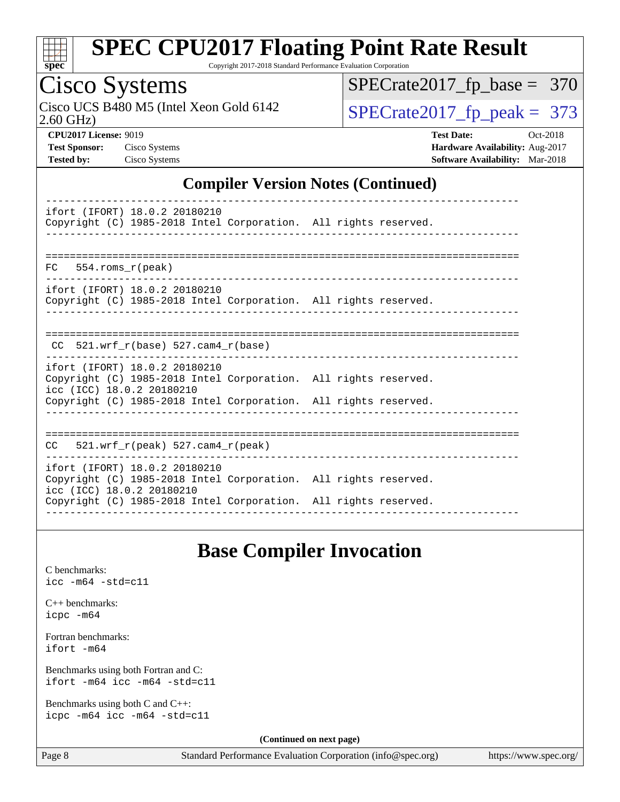

Copyright 2017-2018 Standard Performance Evaluation Corporation

## Cisco Systems

2.60 GHz) Cisco UCS B480 M5 (Intel Xeon Gold 6142  $\vert$ [SPECrate2017\\_fp\\_peak =](http://www.spec.org/auto/cpu2017/Docs/result-fields.html#SPECrate2017fppeak) 373

[SPECrate2017\\_fp\\_base =](http://www.spec.org/auto/cpu2017/Docs/result-fields.html#SPECrate2017fpbase) 370

**[CPU2017 License:](http://www.spec.org/auto/cpu2017/Docs/result-fields.html#CPU2017License)** 9019 **[Test Date:](http://www.spec.org/auto/cpu2017/Docs/result-fields.html#TestDate)** Oct-2018 **[Test Sponsor:](http://www.spec.org/auto/cpu2017/Docs/result-fields.html#TestSponsor)** Cisco Systems **[Hardware Availability:](http://www.spec.org/auto/cpu2017/Docs/result-fields.html#HardwareAvailability)** Aug-2017 **[Tested by:](http://www.spec.org/auto/cpu2017/Docs/result-fields.html#Testedby)** Cisco Systems **[Software Availability:](http://www.spec.org/auto/cpu2017/Docs/result-fields.html#SoftwareAvailability)** Mar-2018

### **[Compiler Version Notes \(Continued\)](http://www.spec.org/auto/cpu2017/Docs/result-fields.html#CompilerVersionNotes)**

| ifort (IFORT) 18.0.2 20180210<br>Copyright (C) 1985-2018 Intel Corporation. All rights reserved.                                                                                                 |  |
|--------------------------------------------------------------------------------------------------------------------------------------------------------------------------------------------------|--|
| $FC$ 554. roms $r$ (peak)                                                                                                                                                                        |  |
|                                                                                                                                                                                                  |  |
| ifort (IFORT) 18.0.2 20180210<br>Copyright (C) 1985-2018 Intel Corporation. All rights reserved.                                                                                                 |  |
|                                                                                                                                                                                                  |  |
| CC $521.$ wrf r(base) 527.cam4 r(base)                                                                                                                                                           |  |
| ifort (IFORT) 18.0.2 20180210<br>Copyright (C) 1985-2018 Intel Corporation. All rights reserved.<br>icc (ICC) 18.0.2 20180210<br>Copyright (C) 1985-2018 Intel Corporation. All rights reserved. |  |
| $CC = 521$ .wrf $r(\text{peak})$ 527.cam4 $r(\text{peak})$                                                                                                                                       |  |
| ifort (IFORT) 18.0.2 20180210<br>Copyright (C) 1985-2018 Intel Corporation. All rights reserved.<br>icc (ICC) 18.0.2 20180210<br>Copyright (C) 1985-2018 Intel Corporation. All rights reserved. |  |
|                                                                                                                                                                                                  |  |

### **[Base Compiler Invocation](http://www.spec.org/auto/cpu2017/Docs/result-fields.html#BaseCompilerInvocation)**

[C benchmarks](http://www.spec.org/auto/cpu2017/Docs/result-fields.html#Cbenchmarks): [icc -m64 -std=c11](http://www.spec.org/cpu2017/results/res2018q4/cpu2017-20181030-09439.flags.html#user_CCbase_intel_icc_64bit_c11_33ee0cdaae7deeeab2a9725423ba97205ce30f63b9926c2519791662299b76a0318f32ddfffdc46587804de3178b4f9328c46fa7c2b0cd779d7a61945c91cd35)

[C++ benchmarks:](http://www.spec.org/auto/cpu2017/Docs/result-fields.html#CXXbenchmarks) [icpc -m64](http://www.spec.org/cpu2017/results/res2018q4/cpu2017-20181030-09439.flags.html#user_CXXbase_intel_icpc_64bit_4ecb2543ae3f1412ef961e0650ca070fec7b7afdcd6ed48761b84423119d1bf6bdf5cad15b44d48e7256388bc77273b966e5eb805aefd121eb22e9299b2ec9d9)

[Fortran benchmarks](http://www.spec.org/auto/cpu2017/Docs/result-fields.html#Fortranbenchmarks): [ifort -m64](http://www.spec.org/cpu2017/results/res2018q4/cpu2017-20181030-09439.flags.html#user_FCbase_intel_ifort_64bit_24f2bb282fbaeffd6157abe4f878425411749daecae9a33200eee2bee2fe76f3b89351d69a8130dd5949958ce389cf37ff59a95e7a40d588e8d3a57e0c3fd751)

[Benchmarks using both Fortran and C](http://www.spec.org/auto/cpu2017/Docs/result-fields.html#BenchmarksusingbothFortranandC): [ifort -m64](http://www.spec.org/cpu2017/results/res2018q4/cpu2017-20181030-09439.flags.html#user_CC_FCbase_intel_ifort_64bit_24f2bb282fbaeffd6157abe4f878425411749daecae9a33200eee2bee2fe76f3b89351d69a8130dd5949958ce389cf37ff59a95e7a40d588e8d3a57e0c3fd751) [icc -m64 -std=c11](http://www.spec.org/cpu2017/results/res2018q4/cpu2017-20181030-09439.flags.html#user_CC_FCbase_intel_icc_64bit_c11_33ee0cdaae7deeeab2a9725423ba97205ce30f63b9926c2519791662299b76a0318f32ddfffdc46587804de3178b4f9328c46fa7c2b0cd779d7a61945c91cd35)

[Benchmarks using both C and C++](http://www.spec.org/auto/cpu2017/Docs/result-fields.html#BenchmarksusingbothCandCXX): [icpc -m64](http://www.spec.org/cpu2017/results/res2018q4/cpu2017-20181030-09439.flags.html#user_CC_CXXbase_intel_icpc_64bit_4ecb2543ae3f1412ef961e0650ca070fec7b7afdcd6ed48761b84423119d1bf6bdf5cad15b44d48e7256388bc77273b966e5eb805aefd121eb22e9299b2ec9d9) [icc -m64 -std=c11](http://www.spec.org/cpu2017/results/res2018q4/cpu2017-20181030-09439.flags.html#user_CC_CXXbase_intel_icc_64bit_c11_33ee0cdaae7deeeab2a9725423ba97205ce30f63b9926c2519791662299b76a0318f32ddfffdc46587804de3178b4f9328c46fa7c2b0cd779d7a61945c91cd35)

**(Continued on next page)**

Page 8 Standard Performance Evaluation Corporation [\(info@spec.org\)](mailto:info@spec.org) <https://www.spec.org/>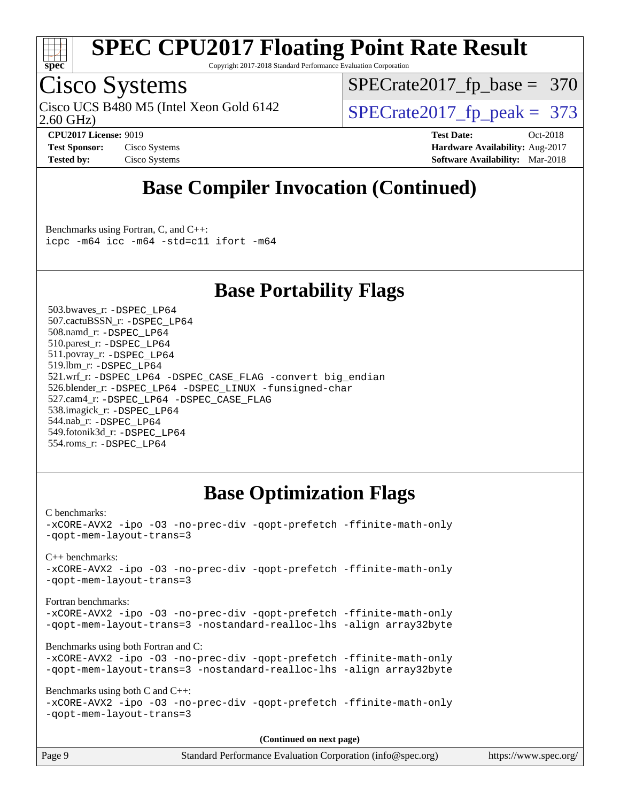

Copyright 2017-2018 Standard Performance Evaluation Corporation

### Cisco Systems

2.60 GHz) Cisco UCS B480 M5 (Intel Xeon Gold 6142  $\vert$  [SPECrate2017\\_fp\\_peak =](http://www.spec.org/auto/cpu2017/Docs/result-fields.html#SPECrate2017fppeak) 373

[SPECrate2017\\_fp\\_base =](http://www.spec.org/auto/cpu2017/Docs/result-fields.html#SPECrate2017fpbase) 370

**[CPU2017 License:](http://www.spec.org/auto/cpu2017/Docs/result-fields.html#CPU2017License)** 9019 **[Test Date:](http://www.spec.org/auto/cpu2017/Docs/result-fields.html#TestDate)** Oct-2018 **[Test Sponsor:](http://www.spec.org/auto/cpu2017/Docs/result-fields.html#TestSponsor)** Cisco Systems **Cisco Systems [Hardware Availability:](http://www.spec.org/auto/cpu2017/Docs/result-fields.html#HardwareAvailability)** Aug-2017 **[Tested by:](http://www.spec.org/auto/cpu2017/Docs/result-fields.html#Testedby)** Cisco Systems **[Software Availability:](http://www.spec.org/auto/cpu2017/Docs/result-fields.html#SoftwareAvailability)** Mar-2018

### **[Base Compiler Invocation \(Continued\)](http://www.spec.org/auto/cpu2017/Docs/result-fields.html#BaseCompilerInvocation)**

[Benchmarks using Fortran, C, and C++:](http://www.spec.org/auto/cpu2017/Docs/result-fields.html#BenchmarksusingFortranCandCXX) [icpc -m64](http://www.spec.org/cpu2017/results/res2018q4/cpu2017-20181030-09439.flags.html#user_CC_CXX_FCbase_intel_icpc_64bit_4ecb2543ae3f1412ef961e0650ca070fec7b7afdcd6ed48761b84423119d1bf6bdf5cad15b44d48e7256388bc77273b966e5eb805aefd121eb22e9299b2ec9d9) [icc -m64 -std=c11](http://www.spec.org/cpu2017/results/res2018q4/cpu2017-20181030-09439.flags.html#user_CC_CXX_FCbase_intel_icc_64bit_c11_33ee0cdaae7deeeab2a9725423ba97205ce30f63b9926c2519791662299b76a0318f32ddfffdc46587804de3178b4f9328c46fa7c2b0cd779d7a61945c91cd35) [ifort -m64](http://www.spec.org/cpu2017/results/res2018q4/cpu2017-20181030-09439.flags.html#user_CC_CXX_FCbase_intel_ifort_64bit_24f2bb282fbaeffd6157abe4f878425411749daecae9a33200eee2bee2fe76f3b89351d69a8130dd5949958ce389cf37ff59a95e7a40d588e8d3a57e0c3fd751)

### **[Base Portability Flags](http://www.spec.org/auto/cpu2017/Docs/result-fields.html#BasePortabilityFlags)**

 503.bwaves\_r: [-DSPEC\\_LP64](http://www.spec.org/cpu2017/results/res2018q4/cpu2017-20181030-09439.flags.html#suite_basePORTABILITY503_bwaves_r_DSPEC_LP64) 507.cactuBSSN\_r: [-DSPEC\\_LP64](http://www.spec.org/cpu2017/results/res2018q4/cpu2017-20181030-09439.flags.html#suite_basePORTABILITY507_cactuBSSN_r_DSPEC_LP64) 508.namd\_r: [-DSPEC\\_LP64](http://www.spec.org/cpu2017/results/res2018q4/cpu2017-20181030-09439.flags.html#suite_basePORTABILITY508_namd_r_DSPEC_LP64) 510.parest\_r: [-DSPEC\\_LP64](http://www.spec.org/cpu2017/results/res2018q4/cpu2017-20181030-09439.flags.html#suite_basePORTABILITY510_parest_r_DSPEC_LP64) 511.povray\_r: [-DSPEC\\_LP64](http://www.spec.org/cpu2017/results/res2018q4/cpu2017-20181030-09439.flags.html#suite_basePORTABILITY511_povray_r_DSPEC_LP64) 519.lbm\_r: [-DSPEC\\_LP64](http://www.spec.org/cpu2017/results/res2018q4/cpu2017-20181030-09439.flags.html#suite_basePORTABILITY519_lbm_r_DSPEC_LP64) 521.wrf\_r: [-DSPEC\\_LP64](http://www.spec.org/cpu2017/results/res2018q4/cpu2017-20181030-09439.flags.html#suite_basePORTABILITY521_wrf_r_DSPEC_LP64) [-DSPEC\\_CASE\\_FLAG](http://www.spec.org/cpu2017/results/res2018q4/cpu2017-20181030-09439.flags.html#b521.wrf_r_baseCPORTABILITY_DSPEC_CASE_FLAG) [-convert big\\_endian](http://www.spec.org/cpu2017/results/res2018q4/cpu2017-20181030-09439.flags.html#user_baseFPORTABILITY521_wrf_r_convert_big_endian_c3194028bc08c63ac5d04de18c48ce6d347e4e562e8892b8bdbdc0214820426deb8554edfa529a3fb25a586e65a3d812c835984020483e7e73212c4d31a38223) 526.blender\_r: [-DSPEC\\_LP64](http://www.spec.org/cpu2017/results/res2018q4/cpu2017-20181030-09439.flags.html#suite_basePORTABILITY526_blender_r_DSPEC_LP64) [-DSPEC\\_LINUX](http://www.spec.org/cpu2017/results/res2018q4/cpu2017-20181030-09439.flags.html#b526.blender_r_baseCPORTABILITY_DSPEC_LINUX) [-funsigned-char](http://www.spec.org/cpu2017/results/res2018q4/cpu2017-20181030-09439.flags.html#user_baseCPORTABILITY526_blender_r_force_uchar_40c60f00ab013830e2dd6774aeded3ff59883ba5a1fc5fc14077f794d777847726e2a5858cbc7672e36e1b067e7e5c1d9a74f7176df07886a243d7cc18edfe67) 527.cam4\_r: [-DSPEC\\_LP64](http://www.spec.org/cpu2017/results/res2018q4/cpu2017-20181030-09439.flags.html#suite_basePORTABILITY527_cam4_r_DSPEC_LP64) [-DSPEC\\_CASE\\_FLAG](http://www.spec.org/cpu2017/results/res2018q4/cpu2017-20181030-09439.flags.html#b527.cam4_r_baseCPORTABILITY_DSPEC_CASE_FLAG) 538.imagick\_r: [-DSPEC\\_LP64](http://www.spec.org/cpu2017/results/res2018q4/cpu2017-20181030-09439.flags.html#suite_basePORTABILITY538_imagick_r_DSPEC_LP64) 544.nab\_r: [-DSPEC\\_LP64](http://www.spec.org/cpu2017/results/res2018q4/cpu2017-20181030-09439.flags.html#suite_basePORTABILITY544_nab_r_DSPEC_LP64) 549.fotonik3d\_r: [-DSPEC\\_LP64](http://www.spec.org/cpu2017/results/res2018q4/cpu2017-20181030-09439.flags.html#suite_basePORTABILITY549_fotonik3d_r_DSPEC_LP64) 554.roms\_r: [-DSPEC\\_LP64](http://www.spec.org/cpu2017/results/res2018q4/cpu2017-20181030-09439.flags.html#suite_basePORTABILITY554_roms_r_DSPEC_LP64)

### **[Base Optimization Flags](http://www.spec.org/auto/cpu2017/Docs/result-fields.html#BaseOptimizationFlags)**

[C benchmarks](http://www.spec.org/auto/cpu2017/Docs/result-fields.html#Cbenchmarks): [-xCORE-AVX2](http://www.spec.org/cpu2017/results/res2018q4/cpu2017-20181030-09439.flags.html#user_CCbase_f-xCORE-AVX2) [-ipo](http://www.spec.org/cpu2017/results/res2018q4/cpu2017-20181030-09439.flags.html#user_CCbase_f-ipo) [-O3](http://www.spec.org/cpu2017/results/res2018q4/cpu2017-20181030-09439.flags.html#user_CCbase_f-O3) [-no-prec-div](http://www.spec.org/cpu2017/results/res2018q4/cpu2017-20181030-09439.flags.html#user_CCbase_f-no-prec-div) [-qopt-prefetch](http://www.spec.org/cpu2017/results/res2018q4/cpu2017-20181030-09439.flags.html#user_CCbase_f-qopt-prefetch) [-ffinite-math-only](http://www.spec.org/cpu2017/results/res2018q4/cpu2017-20181030-09439.flags.html#user_CCbase_f_finite_math_only_cb91587bd2077682c4b38af759c288ed7c732db004271a9512da14a4f8007909a5f1427ecbf1a0fb78ff2a814402c6114ac565ca162485bbcae155b5e4258871) [-qopt-mem-layout-trans=3](http://www.spec.org/cpu2017/results/res2018q4/cpu2017-20181030-09439.flags.html#user_CCbase_f-qopt-mem-layout-trans_de80db37974c74b1f0e20d883f0b675c88c3b01e9d123adea9b28688d64333345fb62bc4a798493513fdb68f60282f9a726aa07f478b2f7113531aecce732043) [C++ benchmarks:](http://www.spec.org/auto/cpu2017/Docs/result-fields.html#CXXbenchmarks) [-xCORE-AVX2](http://www.spec.org/cpu2017/results/res2018q4/cpu2017-20181030-09439.flags.html#user_CXXbase_f-xCORE-AVX2) [-ipo](http://www.spec.org/cpu2017/results/res2018q4/cpu2017-20181030-09439.flags.html#user_CXXbase_f-ipo) [-O3](http://www.spec.org/cpu2017/results/res2018q4/cpu2017-20181030-09439.flags.html#user_CXXbase_f-O3) [-no-prec-div](http://www.spec.org/cpu2017/results/res2018q4/cpu2017-20181030-09439.flags.html#user_CXXbase_f-no-prec-div) [-qopt-prefetch](http://www.spec.org/cpu2017/results/res2018q4/cpu2017-20181030-09439.flags.html#user_CXXbase_f-qopt-prefetch) [-ffinite-math-only](http://www.spec.org/cpu2017/results/res2018q4/cpu2017-20181030-09439.flags.html#user_CXXbase_f_finite_math_only_cb91587bd2077682c4b38af759c288ed7c732db004271a9512da14a4f8007909a5f1427ecbf1a0fb78ff2a814402c6114ac565ca162485bbcae155b5e4258871) [-qopt-mem-layout-trans=3](http://www.spec.org/cpu2017/results/res2018q4/cpu2017-20181030-09439.flags.html#user_CXXbase_f-qopt-mem-layout-trans_de80db37974c74b1f0e20d883f0b675c88c3b01e9d123adea9b28688d64333345fb62bc4a798493513fdb68f60282f9a726aa07f478b2f7113531aecce732043) [Fortran benchmarks](http://www.spec.org/auto/cpu2017/Docs/result-fields.html#Fortranbenchmarks): [-xCORE-AVX2](http://www.spec.org/cpu2017/results/res2018q4/cpu2017-20181030-09439.flags.html#user_FCbase_f-xCORE-AVX2) [-ipo](http://www.spec.org/cpu2017/results/res2018q4/cpu2017-20181030-09439.flags.html#user_FCbase_f-ipo) [-O3](http://www.spec.org/cpu2017/results/res2018q4/cpu2017-20181030-09439.flags.html#user_FCbase_f-O3) [-no-prec-div](http://www.spec.org/cpu2017/results/res2018q4/cpu2017-20181030-09439.flags.html#user_FCbase_f-no-prec-div) [-qopt-prefetch](http://www.spec.org/cpu2017/results/res2018q4/cpu2017-20181030-09439.flags.html#user_FCbase_f-qopt-prefetch) [-ffinite-math-only](http://www.spec.org/cpu2017/results/res2018q4/cpu2017-20181030-09439.flags.html#user_FCbase_f_finite_math_only_cb91587bd2077682c4b38af759c288ed7c732db004271a9512da14a4f8007909a5f1427ecbf1a0fb78ff2a814402c6114ac565ca162485bbcae155b5e4258871) [-qopt-mem-layout-trans=3](http://www.spec.org/cpu2017/results/res2018q4/cpu2017-20181030-09439.flags.html#user_FCbase_f-qopt-mem-layout-trans_de80db37974c74b1f0e20d883f0b675c88c3b01e9d123adea9b28688d64333345fb62bc4a798493513fdb68f60282f9a726aa07f478b2f7113531aecce732043) [-nostandard-realloc-lhs](http://www.spec.org/cpu2017/results/res2018q4/cpu2017-20181030-09439.flags.html#user_FCbase_f_2003_std_realloc_82b4557e90729c0f113870c07e44d33d6f5a304b4f63d4c15d2d0f1fab99f5daaed73bdb9275d9ae411527f28b936061aa8b9c8f2d63842963b95c9dd6426b8a) [-align array32byte](http://www.spec.org/cpu2017/results/res2018q4/cpu2017-20181030-09439.flags.html#user_FCbase_align_array32byte_b982fe038af199962ba9a80c053b8342c548c85b40b8e86eb3cc33dee0d7986a4af373ac2d51c3f7cf710a18d62fdce2948f201cd044323541f22fc0fffc51b6) [Benchmarks using both Fortran and C](http://www.spec.org/auto/cpu2017/Docs/result-fields.html#BenchmarksusingbothFortranandC): [-xCORE-AVX2](http://www.spec.org/cpu2017/results/res2018q4/cpu2017-20181030-09439.flags.html#user_CC_FCbase_f-xCORE-AVX2) [-ipo](http://www.spec.org/cpu2017/results/res2018q4/cpu2017-20181030-09439.flags.html#user_CC_FCbase_f-ipo) [-O3](http://www.spec.org/cpu2017/results/res2018q4/cpu2017-20181030-09439.flags.html#user_CC_FCbase_f-O3) [-no-prec-div](http://www.spec.org/cpu2017/results/res2018q4/cpu2017-20181030-09439.flags.html#user_CC_FCbase_f-no-prec-div) [-qopt-prefetch](http://www.spec.org/cpu2017/results/res2018q4/cpu2017-20181030-09439.flags.html#user_CC_FCbase_f-qopt-prefetch) [-ffinite-math-only](http://www.spec.org/cpu2017/results/res2018q4/cpu2017-20181030-09439.flags.html#user_CC_FCbase_f_finite_math_only_cb91587bd2077682c4b38af759c288ed7c732db004271a9512da14a4f8007909a5f1427ecbf1a0fb78ff2a814402c6114ac565ca162485bbcae155b5e4258871) [-qopt-mem-layout-trans=3](http://www.spec.org/cpu2017/results/res2018q4/cpu2017-20181030-09439.flags.html#user_CC_FCbase_f-qopt-mem-layout-trans_de80db37974c74b1f0e20d883f0b675c88c3b01e9d123adea9b28688d64333345fb62bc4a798493513fdb68f60282f9a726aa07f478b2f7113531aecce732043) [-nostandard-realloc-lhs](http://www.spec.org/cpu2017/results/res2018q4/cpu2017-20181030-09439.flags.html#user_CC_FCbase_f_2003_std_realloc_82b4557e90729c0f113870c07e44d33d6f5a304b4f63d4c15d2d0f1fab99f5daaed73bdb9275d9ae411527f28b936061aa8b9c8f2d63842963b95c9dd6426b8a) [-align array32byte](http://www.spec.org/cpu2017/results/res2018q4/cpu2017-20181030-09439.flags.html#user_CC_FCbase_align_array32byte_b982fe038af199962ba9a80c053b8342c548c85b40b8e86eb3cc33dee0d7986a4af373ac2d51c3f7cf710a18d62fdce2948f201cd044323541f22fc0fffc51b6) [Benchmarks using both C and C++](http://www.spec.org/auto/cpu2017/Docs/result-fields.html#BenchmarksusingbothCandCXX): [-xCORE-AVX2](http://www.spec.org/cpu2017/results/res2018q4/cpu2017-20181030-09439.flags.html#user_CC_CXXbase_f-xCORE-AVX2) [-ipo](http://www.spec.org/cpu2017/results/res2018q4/cpu2017-20181030-09439.flags.html#user_CC_CXXbase_f-ipo) [-O3](http://www.spec.org/cpu2017/results/res2018q4/cpu2017-20181030-09439.flags.html#user_CC_CXXbase_f-O3) [-no-prec-div](http://www.spec.org/cpu2017/results/res2018q4/cpu2017-20181030-09439.flags.html#user_CC_CXXbase_f-no-prec-div) [-qopt-prefetch](http://www.spec.org/cpu2017/results/res2018q4/cpu2017-20181030-09439.flags.html#user_CC_CXXbase_f-qopt-prefetch) [-ffinite-math-only](http://www.spec.org/cpu2017/results/res2018q4/cpu2017-20181030-09439.flags.html#user_CC_CXXbase_f_finite_math_only_cb91587bd2077682c4b38af759c288ed7c732db004271a9512da14a4f8007909a5f1427ecbf1a0fb78ff2a814402c6114ac565ca162485bbcae155b5e4258871) [-qopt-mem-layout-trans=3](http://www.spec.org/cpu2017/results/res2018q4/cpu2017-20181030-09439.flags.html#user_CC_CXXbase_f-qopt-mem-layout-trans_de80db37974c74b1f0e20d883f0b675c88c3b01e9d123adea9b28688d64333345fb62bc4a798493513fdb68f60282f9a726aa07f478b2f7113531aecce732043) **(Continued on next page)**

| Page 9 | Standard Performance Evaluation Corporation (info@spec.org) | https://www.spec.org/ |
|--------|-------------------------------------------------------------|-----------------------|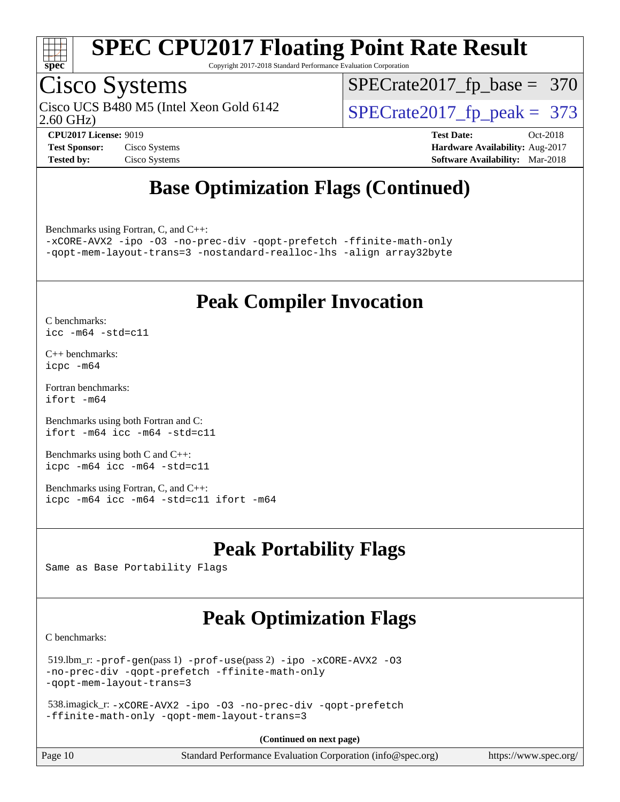

Copyright 2017-2018 Standard Performance Evaluation Corporation

### Cisco Systems

2.60 GHz) Cisco UCS B480 M5 (Intel Xeon Gold 6142  $\vert$  [SPECrate2017\\_fp\\_peak =](http://www.spec.org/auto/cpu2017/Docs/result-fields.html#SPECrate2017fppeak) 373

[SPECrate2017\\_fp\\_base =](http://www.spec.org/auto/cpu2017/Docs/result-fields.html#SPECrate2017fpbase) 370

**[CPU2017 License:](http://www.spec.org/auto/cpu2017/Docs/result-fields.html#CPU2017License)** 9019 **[Test Date:](http://www.spec.org/auto/cpu2017/Docs/result-fields.html#TestDate)** Oct-2018 **[Test Sponsor:](http://www.spec.org/auto/cpu2017/Docs/result-fields.html#TestSponsor)** Cisco Systems **[Hardware Availability:](http://www.spec.org/auto/cpu2017/Docs/result-fields.html#HardwareAvailability)** Aug-2017 **[Tested by:](http://www.spec.org/auto/cpu2017/Docs/result-fields.html#Testedby)** Cisco Systems **[Software Availability:](http://www.spec.org/auto/cpu2017/Docs/result-fields.html#SoftwareAvailability)** Mar-2018

### **[Base Optimization Flags \(Continued\)](http://www.spec.org/auto/cpu2017/Docs/result-fields.html#BaseOptimizationFlags)**

[Benchmarks using Fortran, C, and C++:](http://www.spec.org/auto/cpu2017/Docs/result-fields.html#BenchmarksusingFortranCandCXX)

[-xCORE-AVX2](http://www.spec.org/cpu2017/results/res2018q4/cpu2017-20181030-09439.flags.html#user_CC_CXX_FCbase_f-xCORE-AVX2) [-ipo](http://www.spec.org/cpu2017/results/res2018q4/cpu2017-20181030-09439.flags.html#user_CC_CXX_FCbase_f-ipo) [-O3](http://www.spec.org/cpu2017/results/res2018q4/cpu2017-20181030-09439.flags.html#user_CC_CXX_FCbase_f-O3) [-no-prec-div](http://www.spec.org/cpu2017/results/res2018q4/cpu2017-20181030-09439.flags.html#user_CC_CXX_FCbase_f-no-prec-div) [-qopt-prefetch](http://www.spec.org/cpu2017/results/res2018q4/cpu2017-20181030-09439.flags.html#user_CC_CXX_FCbase_f-qopt-prefetch) [-ffinite-math-only](http://www.spec.org/cpu2017/results/res2018q4/cpu2017-20181030-09439.flags.html#user_CC_CXX_FCbase_f_finite_math_only_cb91587bd2077682c4b38af759c288ed7c732db004271a9512da14a4f8007909a5f1427ecbf1a0fb78ff2a814402c6114ac565ca162485bbcae155b5e4258871) [-qopt-mem-layout-trans=3](http://www.spec.org/cpu2017/results/res2018q4/cpu2017-20181030-09439.flags.html#user_CC_CXX_FCbase_f-qopt-mem-layout-trans_de80db37974c74b1f0e20d883f0b675c88c3b01e9d123adea9b28688d64333345fb62bc4a798493513fdb68f60282f9a726aa07f478b2f7113531aecce732043) [-nostandard-realloc-lhs](http://www.spec.org/cpu2017/results/res2018q4/cpu2017-20181030-09439.flags.html#user_CC_CXX_FCbase_f_2003_std_realloc_82b4557e90729c0f113870c07e44d33d6f5a304b4f63d4c15d2d0f1fab99f5daaed73bdb9275d9ae411527f28b936061aa8b9c8f2d63842963b95c9dd6426b8a) [-align array32byte](http://www.spec.org/cpu2017/results/res2018q4/cpu2017-20181030-09439.flags.html#user_CC_CXX_FCbase_align_array32byte_b982fe038af199962ba9a80c053b8342c548c85b40b8e86eb3cc33dee0d7986a4af373ac2d51c3f7cf710a18d62fdce2948f201cd044323541f22fc0fffc51b6)

### **[Peak Compiler Invocation](http://www.spec.org/auto/cpu2017/Docs/result-fields.html#PeakCompilerInvocation)**

[C benchmarks](http://www.spec.org/auto/cpu2017/Docs/result-fields.html#Cbenchmarks): [icc -m64 -std=c11](http://www.spec.org/cpu2017/results/res2018q4/cpu2017-20181030-09439.flags.html#user_CCpeak_intel_icc_64bit_c11_33ee0cdaae7deeeab2a9725423ba97205ce30f63b9926c2519791662299b76a0318f32ddfffdc46587804de3178b4f9328c46fa7c2b0cd779d7a61945c91cd35)

[C++ benchmarks:](http://www.spec.org/auto/cpu2017/Docs/result-fields.html#CXXbenchmarks) [icpc -m64](http://www.spec.org/cpu2017/results/res2018q4/cpu2017-20181030-09439.flags.html#user_CXXpeak_intel_icpc_64bit_4ecb2543ae3f1412ef961e0650ca070fec7b7afdcd6ed48761b84423119d1bf6bdf5cad15b44d48e7256388bc77273b966e5eb805aefd121eb22e9299b2ec9d9)

[Fortran benchmarks](http://www.spec.org/auto/cpu2017/Docs/result-fields.html#Fortranbenchmarks): [ifort -m64](http://www.spec.org/cpu2017/results/res2018q4/cpu2017-20181030-09439.flags.html#user_FCpeak_intel_ifort_64bit_24f2bb282fbaeffd6157abe4f878425411749daecae9a33200eee2bee2fe76f3b89351d69a8130dd5949958ce389cf37ff59a95e7a40d588e8d3a57e0c3fd751)

[Benchmarks using both Fortran and C](http://www.spec.org/auto/cpu2017/Docs/result-fields.html#BenchmarksusingbothFortranandC): [ifort -m64](http://www.spec.org/cpu2017/results/res2018q4/cpu2017-20181030-09439.flags.html#user_CC_FCpeak_intel_ifort_64bit_24f2bb282fbaeffd6157abe4f878425411749daecae9a33200eee2bee2fe76f3b89351d69a8130dd5949958ce389cf37ff59a95e7a40d588e8d3a57e0c3fd751) [icc -m64 -std=c11](http://www.spec.org/cpu2017/results/res2018q4/cpu2017-20181030-09439.flags.html#user_CC_FCpeak_intel_icc_64bit_c11_33ee0cdaae7deeeab2a9725423ba97205ce30f63b9926c2519791662299b76a0318f32ddfffdc46587804de3178b4f9328c46fa7c2b0cd779d7a61945c91cd35)

[Benchmarks using both C and C++](http://www.spec.org/auto/cpu2017/Docs/result-fields.html#BenchmarksusingbothCandCXX): [icpc -m64](http://www.spec.org/cpu2017/results/res2018q4/cpu2017-20181030-09439.flags.html#user_CC_CXXpeak_intel_icpc_64bit_4ecb2543ae3f1412ef961e0650ca070fec7b7afdcd6ed48761b84423119d1bf6bdf5cad15b44d48e7256388bc77273b966e5eb805aefd121eb22e9299b2ec9d9) [icc -m64 -std=c11](http://www.spec.org/cpu2017/results/res2018q4/cpu2017-20181030-09439.flags.html#user_CC_CXXpeak_intel_icc_64bit_c11_33ee0cdaae7deeeab2a9725423ba97205ce30f63b9926c2519791662299b76a0318f32ddfffdc46587804de3178b4f9328c46fa7c2b0cd779d7a61945c91cd35)

[Benchmarks using Fortran, C, and C++:](http://www.spec.org/auto/cpu2017/Docs/result-fields.html#BenchmarksusingFortranCandCXX) [icpc -m64](http://www.spec.org/cpu2017/results/res2018q4/cpu2017-20181030-09439.flags.html#user_CC_CXX_FCpeak_intel_icpc_64bit_4ecb2543ae3f1412ef961e0650ca070fec7b7afdcd6ed48761b84423119d1bf6bdf5cad15b44d48e7256388bc77273b966e5eb805aefd121eb22e9299b2ec9d9) [icc -m64 -std=c11](http://www.spec.org/cpu2017/results/res2018q4/cpu2017-20181030-09439.flags.html#user_CC_CXX_FCpeak_intel_icc_64bit_c11_33ee0cdaae7deeeab2a9725423ba97205ce30f63b9926c2519791662299b76a0318f32ddfffdc46587804de3178b4f9328c46fa7c2b0cd779d7a61945c91cd35) [ifort -m64](http://www.spec.org/cpu2017/results/res2018q4/cpu2017-20181030-09439.flags.html#user_CC_CXX_FCpeak_intel_ifort_64bit_24f2bb282fbaeffd6157abe4f878425411749daecae9a33200eee2bee2fe76f3b89351d69a8130dd5949958ce389cf37ff59a95e7a40d588e8d3a57e0c3fd751)

### **[Peak Portability Flags](http://www.spec.org/auto/cpu2017/Docs/result-fields.html#PeakPortabilityFlags)**

Same as Base Portability Flags

### **[Peak Optimization Flags](http://www.spec.org/auto/cpu2017/Docs/result-fields.html#PeakOptimizationFlags)**

[C benchmarks](http://www.spec.org/auto/cpu2017/Docs/result-fields.html#Cbenchmarks):

```
 519.lbm_r: -prof-gen(pass 1) -prof-use(pass 2) -ipo -xCORE-AVX2 -O3
-no-prec-div -qopt-prefetch -ffinite-math-only
-qopt-mem-layout-trans=3
```

```
 538.imagick_r: -xCORE-AVX2 -ipo -O3 -no-prec-div -qopt-prefetch
-ffinite-math-only -qopt-mem-layout-trans=3
```
**(Continued on next page)**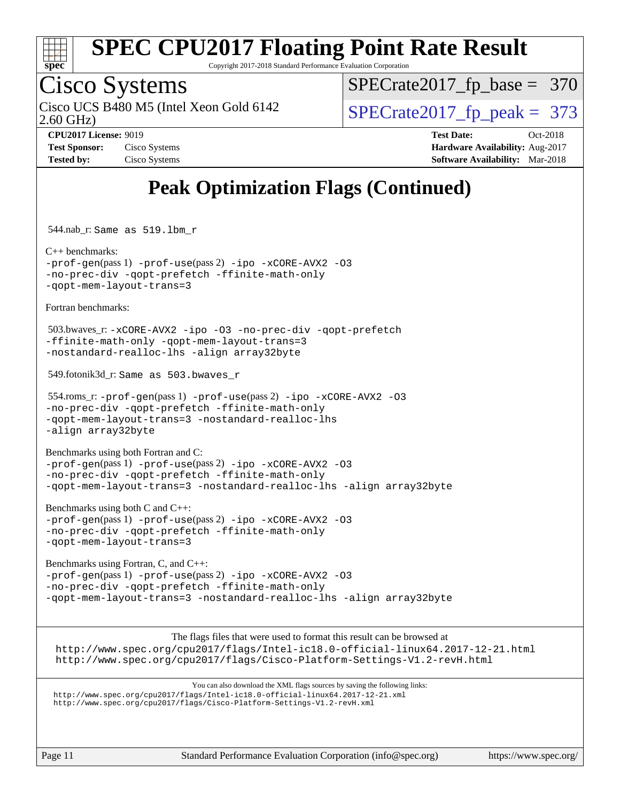

Copyright 2017-2018 Standard Performance Evaluation Corporation

## Cisco Systems

2.60 GHz) Cisco UCS B480 M5 (Intel Xeon Gold 6142  $\vert$ [SPECrate2017\\_fp\\_peak =](http://www.spec.org/auto/cpu2017/Docs/result-fields.html#SPECrate2017fppeak) 373

[SPECrate2017\\_fp\\_base =](http://www.spec.org/auto/cpu2017/Docs/result-fields.html#SPECrate2017fpbase) 370

**[Tested by:](http://www.spec.org/auto/cpu2017/Docs/result-fields.html#Testedby)** Cisco Systems **[Software Availability:](http://www.spec.org/auto/cpu2017/Docs/result-fields.html#SoftwareAvailability)** Mar-2018

**[CPU2017 License:](http://www.spec.org/auto/cpu2017/Docs/result-fields.html#CPU2017License)** 9019 **[Test Date:](http://www.spec.org/auto/cpu2017/Docs/result-fields.html#TestDate)** Oct-2018 **[Test Sponsor:](http://www.spec.org/auto/cpu2017/Docs/result-fields.html#TestSponsor)** Cisco Systems **Cisco Systems [Hardware Availability:](http://www.spec.org/auto/cpu2017/Docs/result-fields.html#HardwareAvailability)** Aug-2017

### **[Peak Optimization Flags \(Continued\)](http://www.spec.org/auto/cpu2017/Docs/result-fields.html#PeakOptimizationFlags)**

544.nab\_r: Same as 519.lbm\_r

[C++ benchmarks:](http://www.spec.org/auto/cpu2017/Docs/result-fields.html#CXXbenchmarks) [-prof-gen](http://www.spec.org/cpu2017/results/res2018q4/cpu2017-20181030-09439.flags.html#user_CXXpeak_prof_gen_5aa4926d6013ddb2a31985c654b3eb18169fc0c6952a63635c234f711e6e63dd76e94ad52365559451ec499a2cdb89e4dc58ba4c67ef54ca681ffbe1461d6b36)(pass 1) [-prof-use](http://www.spec.org/cpu2017/results/res2018q4/cpu2017-20181030-09439.flags.html#user_CXXpeak_prof_use_1a21ceae95f36a2b53c25747139a6c16ca95bd9def2a207b4f0849963b97e94f5260e30a0c64f4bb623698870e679ca08317ef8150905d41bd88c6f78df73f19)(pass 2) [-ipo](http://www.spec.org/cpu2017/results/res2018q4/cpu2017-20181030-09439.flags.html#user_CXXpeak_f-ipo) [-xCORE-AVX2](http://www.spec.org/cpu2017/results/res2018q4/cpu2017-20181030-09439.flags.html#user_CXXpeak_f-xCORE-AVX2) [-O3](http://www.spec.org/cpu2017/results/res2018q4/cpu2017-20181030-09439.flags.html#user_CXXpeak_f-O3) [-no-prec-div](http://www.spec.org/cpu2017/results/res2018q4/cpu2017-20181030-09439.flags.html#user_CXXpeak_f-no-prec-div) [-qopt-prefetch](http://www.spec.org/cpu2017/results/res2018q4/cpu2017-20181030-09439.flags.html#user_CXXpeak_f-qopt-prefetch) [-ffinite-math-only](http://www.spec.org/cpu2017/results/res2018q4/cpu2017-20181030-09439.flags.html#user_CXXpeak_f_finite_math_only_cb91587bd2077682c4b38af759c288ed7c732db004271a9512da14a4f8007909a5f1427ecbf1a0fb78ff2a814402c6114ac565ca162485bbcae155b5e4258871) [-qopt-mem-layout-trans=3](http://www.spec.org/cpu2017/results/res2018q4/cpu2017-20181030-09439.flags.html#user_CXXpeak_f-qopt-mem-layout-trans_de80db37974c74b1f0e20d883f0b675c88c3b01e9d123adea9b28688d64333345fb62bc4a798493513fdb68f60282f9a726aa07f478b2f7113531aecce732043)

[Fortran benchmarks](http://www.spec.org/auto/cpu2017/Docs/result-fields.html#Fortranbenchmarks):

 503.bwaves\_r: [-xCORE-AVX2](http://www.spec.org/cpu2017/results/res2018q4/cpu2017-20181030-09439.flags.html#user_peakFOPTIMIZE503_bwaves_r_f-xCORE-AVX2) [-ipo](http://www.spec.org/cpu2017/results/res2018q4/cpu2017-20181030-09439.flags.html#user_peakFOPTIMIZE503_bwaves_r_f-ipo) [-O3](http://www.spec.org/cpu2017/results/res2018q4/cpu2017-20181030-09439.flags.html#user_peakFOPTIMIZE503_bwaves_r_f-O3) [-no-prec-div](http://www.spec.org/cpu2017/results/res2018q4/cpu2017-20181030-09439.flags.html#user_peakFOPTIMIZE503_bwaves_r_f-no-prec-div) [-qopt-prefetch](http://www.spec.org/cpu2017/results/res2018q4/cpu2017-20181030-09439.flags.html#user_peakFOPTIMIZE503_bwaves_r_f-qopt-prefetch) [-ffinite-math-only](http://www.spec.org/cpu2017/results/res2018q4/cpu2017-20181030-09439.flags.html#user_peakFOPTIMIZE503_bwaves_r_f_finite_math_only_cb91587bd2077682c4b38af759c288ed7c732db004271a9512da14a4f8007909a5f1427ecbf1a0fb78ff2a814402c6114ac565ca162485bbcae155b5e4258871) [-qopt-mem-layout-trans=3](http://www.spec.org/cpu2017/results/res2018q4/cpu2017-20181030-09439.flags.html#user_peakFOPTIMIZE503_bwaves_r_f-qopt-mem-layout-trans_de80db37974c74b1f0e20d883f0b675c88c3b01e9d123adea9b28688d64333345fb62bc4a798493513fdb68f60282f9a726aa07f478b2f7113531aecce732043) [-nostandard-realloc-lhs](http://www.spec.org/cpu2017/results/res2018q4/cpu2017-20181030-09439.flags.html#user_peakEXTRA_FOPTIMIZE503_bwaves_r_f_2003_std_realloc_82b4557e90729c0f113870c07e44d33d6f5a304b4f63d4c15d2d0f1fab99f5daaed73bdb9275d9ae411527f28b936061aa8b9c8f2d63842963b95c9dd6426b8a) [-align array32byte](http://www.spec.org/cpu2017/results/res2018q4/cpu2017-20181030-09439.flags.html#user_peakEXTRA_FOPTIMIZE503_bwaves_r_align_array32byte_b982fe038af199962ba9a80c053b8342c548c85b40b8e86eb3cc33dee0d7986a4af373ac2d51c3f7cf710a18d62fdce2948f201cd044323541f22fc0fffc51b6)

549.fotonik3d\_r: Same as 503.bwaves\_r

 554.roms\_r: [-prof-gen](http://www.spec.org/cpu2017/results/res2018q4/cpu2017-20181030-09439.flags.html#user_peakPASS1_FFLAGSPASS1_LDFLAGS554_roms_r_prof_gen_5aa4926d6013ddb2a31985c654b3eb18169fc0c6952a63635c234f711e6e63dd76e94ad52365559451ec499a2cdb89e4dc58ba4c67ef54ca681ffbe1461d6b36)(pass 1) [-prof-use](http://www.spec.org/cpu2017/results/res2018q4/cpu2017-20181030-09439.flags.html#user_peakPASS2_FFLAGSPASS2_LDFLAGS554_roms_r_prof_use_1a21ceae95f36a2b53c25747139a6c16ca95bd9def2a207b4f0849963b97e94f5260e30a0c64f4bb623698870e679ca08317ef8150905d41bd88c6f78df73f19)(pass 2) [-ipo](http://www.spec.org/cpu2017/results/res2018q4/cpu2017-20181030-09439.flags.html#user_peakPASS1_FOPTIMIZEPASS2_FOPTIMIZE554_roms_r_f-ipo) [-xCORE-AVX2](http://www.spec.org/cpu2017/results/res2018q4/cpu2017-20181030-09439.flags.html#user_peakPASS2_FOPTIMIZE554_roms_r_f-xCORE-AVX2) [-O3](http://www.spec.org/cpu2017/results/res2018q4/cpu2017-20181030-09439.flags.html#user_peakPASS1_FOPTIMIZEPASS2_FOPTIMIZE554_roms_r_f-O3) [-no-prec-div](http://www.spec.org/cpu2017/results/res2018q4/cpu2017-20181030-09439.flags.html#user_peakPASS1_FOPTIMIZEPASS2_FOPTIMIZE554_roms_r_f-no-prec-div) [-qopt-prefetch](http://www.spec.org/cpu2017/results/res2018q4/cpu2017-20181030-09439.flags.html#user_peakPASS1_FOPTIMIZEPASS2_FOPTIMIZE554_roms_r_f-qopt-prefetch) [-ffinite-math-only](http://www.spec.org/cpu2017/results/res2018q4/cpu2017-20181030-09439.flags.html#user_peakPASS1_FOPTIMIZEPASS2_FOPTIMIZE554_roms_r_f_finite_math_only_cb91587bd2077682c4b38af759c288ed7c732db004271a9512da14a4f8007909a5f1427ecbf1a0fb78ff2a814402c6114ac565ca162485bbcae155b5e4258871) [-qopt-mem-layout-trans=3](http://www.spec.org/cpu2017/results/res2018q4/cpu2017-20181030-09439.flags.html#user_peakPASS1_FOPTIMIZEPASS2_FOPTIMIZE554_roms_r_f-qopt-mem-layout-trans_de80db37974c74b1f0e20d883f0b675c88c3b01e9d123adea9b28688d64333345fb62bc4a798493513fdb68f60282f9a726aa07f478b2f7113531aecce732043) [-nostandard-realloc-lhs](http://www.spec.org/cpu2017/results/res2018q4/cpu2017-20181030-09439.flags.html#user_peakEXTRA_FOPTIMIZE554_roms_r_f_2003_std_realloc_82b4557e90729c0f113870c07e44d33d6f5a304b4f63d4c15d2d0f1fab99f5daaed73bdb9275d9ae411527f28b936061aa8b9c8f2d63842963b95c9dd6426b8a) [-align array32byte](http://www.spec.org/cpu2017/results/res2018q4/cpu2017-20181030-09439.flags.html#user_peakEXTRA_FOPTIMIZE554_roms_r_align_array32byte_b982fe038af199962ba9a80c053b8342c548c85b40b8e86eb3cc33dee0d7986a4af373ac2d51c3f7cf710a18d62fdce2948f201cd044323541f22fc0fffc51b6)

[Benchmarks using both Fortran and C](http://www.spec.org/auto/cpu2017/Docs/result-fields.html#BenchmarksusingbothFortranandC): [-prof-gen](http://www.spec.org/cpu2017/results/res2018q4/cpu2017-20181030-09439.flags.html#user_CC_FCpeak_prof_gen_5aa4926d6013ddb2a31985c654b3eb18169fc0c6952a63635c234f711e6e63dd76e94ad52365559451ec499a2cdb89e4dc58ba4c67ef54ca681ffbe1461d6b36)(pass 1) [-prof-use](http://www.spec.org/cpu2017/results/res2018q4/cpu2017-20181030-09439.flags.html#user_CC_FCpeak_prof_use_1a21ceae95f36a2b53c25747139a6c16ca95bd9def2a207b4f0849963b97e94f5260e30a0c64f4bb623698870e679ca08317ef8150905d41bd88c6f78df73f19)(pass 2) [-ipo](http://www.spec.org/cpu2017/results/res2018q4/cpu2017-20181030-09439.flags.html#user_CC_FCpeak_f-ipo) [-xCORE-AVX2](http://www.spec.org/cpu2017/results/res2018q4/cpu2017-20181030-09439.flags.html#user_CC_FCpeak_f-xCORE-AVX2) [-O3](http://www.spec.org/cpu2017/results/res2018q4/cpu2017-20181030-09439.flags.html#user_CC_FCpeak_f-O3) [-no-prec-div](http://www.spec.org/cpu2017/results/res2018q4/cpu2017-20181030-09439.flags.html#user_CC_FCpeak_f-no-prec-div) [-qopt-prefetch](http://www.spec.org/cpu2017/results/res2018q4/cpu2017-20181030-09439.flags.html#user_CC_FCpeak_f-qopt-prefetch) [-ffinite-math-only](http://www.spec.org/cpu2017/results/res2018q4/cpu2017-20181030-09439.flags.html#user_CC_FCpeak_f_finite_math_only_cb91587bd2077682c4b38af759c288ed7c732db004271a9512da14a4f8007909a5f1427ecbf1a0fb78ff2a814402c6114ac565ca162485bbcae155b5e4258871) [-qopt-mem-layout-trans=3](http://www.spec.org/cpu2017/results/res2018q4/cpu2017-20181030-09439.flags.html#user_CC_FCpeak_f-qopt-mem-layout-trans_de80db37974c74b1f0e20d883f0b675c88c3b01e9d123adea9b28688d64333345fb62bc4a798493513fdb68f60282f9a726aa07f478b2f7113531aecce732043) [-nostandard-realloc-lhs](http://www.spec.org/cpu2017/results/res2018q4/cpu2017-20181030-09439.flags.html#user_CC_FCpeak_f_2003_std_realloc_82b4557e90729c0f113870c07e44d33d6f5a304b4f63d4c15d2d0f1fab99f5daaed73bdb9275d9ae411527f28b936061aa8b9c8f2d63842963b95c9dd6426b8a) [-align array32byte](http://www.spec.org/cpu2017/results/res2018q4/cpu2017-20181030-09439.flags.html#user_CC_FCpeak_align_array32byte_b982fe038af199962ba9a80c053b8342c548c85b40b8e86eb3cc33dee0d7986a4af373ac2d51c3f7cf710a18d62fdce2948f201cd044323541f22fc0fffc51b6)

[Benchmarks using both C and C++](http://www.spec.org/auto/cpu2017/Docs/result-fields.html#BenchmarksusingbothCandCXX): [-prof-gen](http://www.spec.org/cpu2017/results/res2018q4/cpu2017-20181030-09439.flags.html#user_CC_CXXpeak_prof_gen_5aa4926d6013ddb2a31985c654b3eb18169fc0c6952a63635c234f711e6e63dd76e94ad52365559451ec499a2cdb89e4dc58ba4c67ef54ca681ffbe1461d6b36)(pass 1) [-prof-use](http://www.spec.org/cpu2017/results/res2018q4/cpu2017-20181030-09439.flags.html#user_CC_CXXpeak_prof_use_1a21ceae95f36a2b53c25747139a6c16ca95bd9def2a207b4f0849963b97e94f5260e30a0c64f4bb623698870e679ca08317ef8150905d41bd88c6f78df73f19)(pass 2) [-ipo](http://www.spec.org/cpu2017/results/res2018q4/cpu2017-20181030-09439.flags.html#user_CC_CXXpeak_f-ipo) [-xCORE-AVX2](http://www.spec.org/cpu2017/results/res2018q4/cpu2017-20181030-09439.flags.html#user_CC_CXXpeak_f-xCORE-AVX2) [-O3](http://www.spec.org/cpu2017/results/res2018q4/cpu2017-20181030-09439.flags.html#user_CC_CXXpeak_f-O3) [-no-prec-div](http://www.spec.org/cpu2017/results/res2018q4/cpu2017-20181030-09439.flags.html#user_CC_CXXpeak_f-no-prec-div) [-qopt-prefetch](http://www.spec.org/cpu2017/results/res2018q4/cpu2017-20181030-09439.flags.html#user_CC_CXXpeak_f-qopt-prefetch) [-ffinite-math-only](http://www.spec.org/cpu2017/results/res2018q4/cpu2017-20181030-09439.flags.html#user_CC_CXXpeak_f_finite_math_only_cb91587bd2077682c4b38af759c288ed7c732db004271a9512da14a4f8007909a5f1427ecbf1a0fb78ff2a814402c6114ac565ca162485bbcae155b5e4258871) [-qopt-mem-layout-trans=3](http://www.spec.org/cpu2017/results/res2018q4/cpu2017-20181030-09439.flags.html#user_CC_CXXpeak_f-qopt-mem-layout-trans_de80db37974c74b1f0e20d883f0b675c88c3b01e9d123adea9b28688d64333345fb62bc4a798493513fdb68f60282f9a726aa07f478b2f7113531aecce732043)

[Benchmarks using Fortran, C, and C++:](http://www.spec.org/auto/cpu2017/Docs/result-fields.html#BenchmarksusingFortranCandCXX) [-prof-gen](http://www.spec.org/cpu2017/results/res2018q4/cpu2017-20181030-09439.flags.html#user_CC_CXX_FCpeak_prof_gen_5aa4926d6013ddb2a31985c654b3eb18169fc0c6952a63635c234f711e6e63dd76e94ad52365559451ec499a2cdb89e4dc58ba4c67ef54ca681ffbe1461d6b36)(pass 1) [-prof-use](http://www.spec.org/cpu2017/results/res2018q4/cpu2017-20181030-09439.flags.html#user_CC_CXX_FCpeak_prof_use_1a21ceae95f36a2b53c25747139a6c16ca95bd9def2a207b4f0849963b97e94f5260e30a0c64f4bb623698870e679ca08317ef8150905d41bd88c6f78df73f19)(pass 2) [-ipo](http://www.spec.org/cpu2017/results/res2018q4/cpu2017-20181030-09439.flags.html#user_CC_CXX_FCpeak_f-ipo) [-xCORE-AVX2](http://www.spec.org/cpu2017/results/res2018q4/cpu2017-20181030-09439.flags.html#user_CC_CXX_FCpeak_f-xCORE-AVX2) [-O3](http://www.spec.org/cpu2017/results/res2018q4/cpu2017-20181030-09439.flags.html#user_CC_CXX_FCpeak_f-O3) [-no-prec-div](http://www.spec.org/cpu2017/results/res2018q4/cpu2017-20181030-09439.flags.html#user_CC_CXX_FCpeak_f-no-prec-div) [-qopt-prefetch](http://www.spec.org/cpu2017/results/res2018q4/cpu2017-20181030-09439.flags.html#user_CC_CXX_FCpeak_f-qopt-prefetch) [-ffinite-math-only](http://www.spec.org/cpu2017/results/res2018q4/cpu2017-20181030-09439.flags.html#user_CC_CXX_FCpeak_f_finite_math_only_cb91587bd2077682c4b38af759c288ed7c732db004271a9512da14a4f8007909a5f1427ecbf1a0fb78ff2a814402c6114ac565ca162485bbcae155b5e4258871) [-qopt-mem-layout-trans=3](http://www.spec.org/cpu2017/results/res2018q4/cpu2017-20181030-09439.flags.html#user_CC_CXX_FCpeak_f-qopt-mem-layout-trans_de80db37974c74b1f0e20d883f0b675c88c3b01e9d123adea9b28688d64333345fb62bc4a798493513fdb68f60282f9a726aa07f478b2f7113531aecce732043) [-nostandard-realloc-lhs](http://www.spec.org/cpu2017/results/res2018q4/cpu2017-20181030-09439.flags.html#user_CC_CXX_FCpeak_f_2003_std_realloc_82b4557e90729c0f113870c07e44d33d6f5a304b4f63d4c15d2d0f1fab99f5daaed73bdb9275d9ae411527f28b936061aa8b9c8f2d63842963b95c9dd6426b8a) [-align array32byte](http://www.spec.org/cpu2017/results/res2018q4/cpu2017-20181030-09439.flags.html#user_CC_CXX_FCpeak_align_array32byte_b982fe038af199962ba9a80c053b8342c548c85b40b8e86eb3cc33dee0d7986a4af373ac2d51c3f7cf710a18d62fdce2948f201cd044323541f22fc0fffc51b6)

The flags files that were used to format this result can be browsed at

<http://www.spec.org/cpu2017/flags/Intel-ic18.0-official-linux64.2017-12-21.html> <http://www.spec.org/cpu2017/flags/Cisco-Platform-Settings-V1.2-revH.html>

You can also download the XML flags sources by saving the following links: <http://www.spec.org/cpu2017/flags/Intel-ic18.0-official-linux64.2017-12-21.xml> <http://www.spec.org/cpu2017/flags/Cisco-Platform-Settings-V1.2-revH.xml>